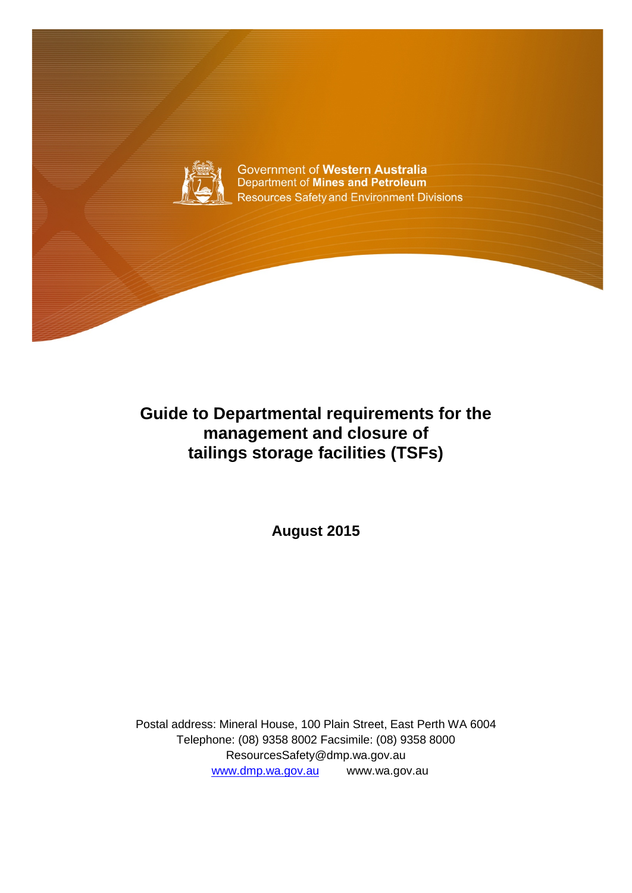

Government of Western Australia Department of Mines and Petroleum **Resources Safety and Environment Divisions** 

## **Guide to Departmental requirements for the management and closure of tailings storage facilities (TSFs)**

**August 2015**

Postal address: Mineral House, 100 Plain Street, East Perth WA 6004 Telephone: (08) 9358 8002 Facsimile: (08) 9358 8000 ResourcesSafety@dmp.wa.gov.au [www.dmp.wa.gov.au](http://www.dmp.wa.gov.au/) www.wa.gov.au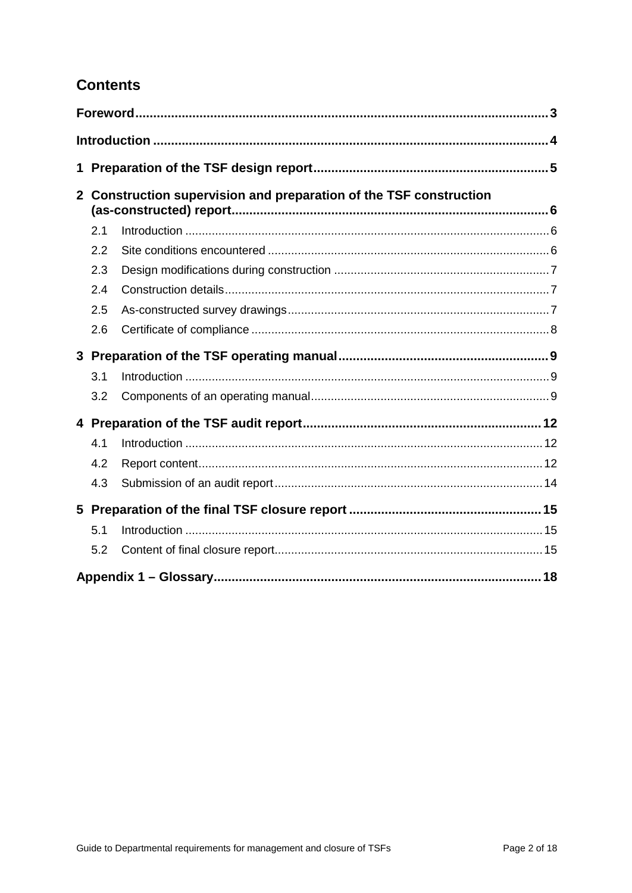### **Contents**

| 1                                                                                  |     |  |  |  |  |
|------------------------------------------------------------------------------------|-----|--|--|--|--|
| Construction supervision and preparation of the TSF construction<br>2 <sup>1</sup> |     |  |  |  |  |
|                                                                                    | 2.1 |  |  |  |  |
|                                                                                    | 2.2 |  |  |  |  |
|                                                                                    | 2.3 |  |  |  |  |
|                                                                                    | 2.4 |  |  |  |  |
|                                                                                    | 2.5 |  |  |  |  |
|                                                                                    | 2.6 |  |  |  |  |
|                                                                                    |     |  |  |  |  |
|                                                                                    | 3.1 |  |  |  |  |
|                                                                                    | 3.2 |  |  |  |  |
|                                                                                    |     |  |  |  |  |
|                                                                                    | 4.1 |  |  |  |  |
|                                                                                    | 4.2 |  |  |  |  |
|                                                                                    | 4.3 |  |  |  |  |
|                                                                                    |     |  |  |  |  |
|                                                                                    | 5.1 |  |  |  |  |
|                                                                                    | 5.2 |  |  |  |  |
|                                                                                    |     |  |  |  |  |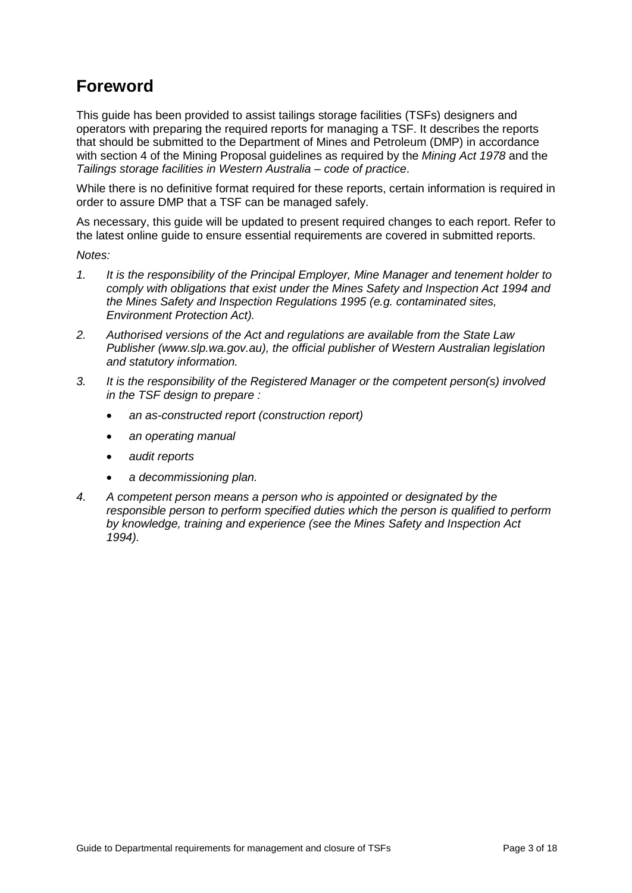## **Foreword**

This guide has been provided to assist tailings storage facilities (TSFs) designers and operators with preparing the required reports for managing a TSF. It describes the reports that should be submitted to the Department of Mines and Petroleum (DMP) in accordance with section 4 of the Mining Proposal guidelines as required by the *Mining Act 1978* and the *Tailings storage facilities in Western Australia – code of practice*.

While there is no definitive format required for these reports, certain information is required in order to assure DMP that a TSF can be managed safely.

As necessary, this guide will be updated to present required changes to each report. Refer to the latest online guide to ensure essential requirements are covered in submitted reports.

*Notes:* 

- *1. It is the responsibility of the Principal Employer, Mine Manager and tenement holder to comply with obligations that exist under the Mines Safety and Inspection Act 1994 and the Mines Safety and Inspection Regulations 1995 (e.g. contaminated sites, Environment Protection Act).*
- *2. Authorised versions of the Act and regulations are available from the State Law Publisher (www.slp.wa.gov.au), the official publisher of Western Australian legislation and statutory information.*
- *3. It is the responsibility of the Registered Manager or the competent person(s) involved in the TSF design to prepare :* 
	- *an as-constructed report (construction report)*
	- *an operating manual*
	- *audit reports*
	- *a decommissioning plan.*
- *4. A competent person means a person who is appointed or designated by the responsible person to perform specified duties which the person is qualified to perform by knowledge, training and experience (see the Mines Safety and Inspection Act 1994).*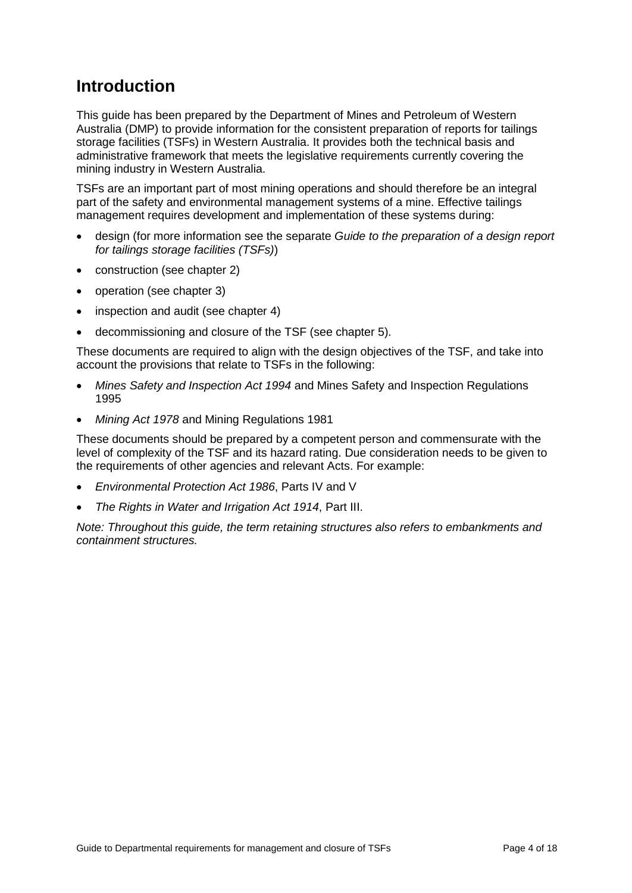## **Introduction**

This guide has been prepared by the Department of Mines and Petroleum of Western Australia (DMP) to provide information for the consistent preparation of reports for tailings storage facilities (TSFs) in Western Australia. It provides both the technical basis and administrative framework that meets the legislative requirements currently covering the mining industry in Western Australia.

TSFs are an important part of most mining operations and should therefore be an integral part of the safety and environmental management systems of a mine. Effective tailings management requires development and implementation of these systems during:

- design (for more information see the separate *Guide to the preparation of a design report for tailings storage facilities (TSFs)*)
- construction (see chapter 2)
- operation (see chapter 3)
- inspection and audit (see chapter 4)
- decommissioning and closure of the TSF (see chapter 5).

These documents are required to align with the design objectives of the TSF, and take into account the provisions that relate to TSFs in the following:

- *Mines Safety and Inspection Act 1994* and Mines Safety and Inspection Regulations 1995
- *Mining Act 1978* and Mining Regulations 1981

These documents should be prepared by a competent person and commensurate with the level of complexity of the TSF and its hazard rating. Due consideration needs to be given to the requirements of other agencies and relevant Acts. For example:

- *Environmental Protection Act 1986*, Parts IV and V
- *The Rights in Water and Irrigation Act 1914*, Part III.

*Note: Throughout this guide, the term retaining structures also refers to embankments and containment structures.*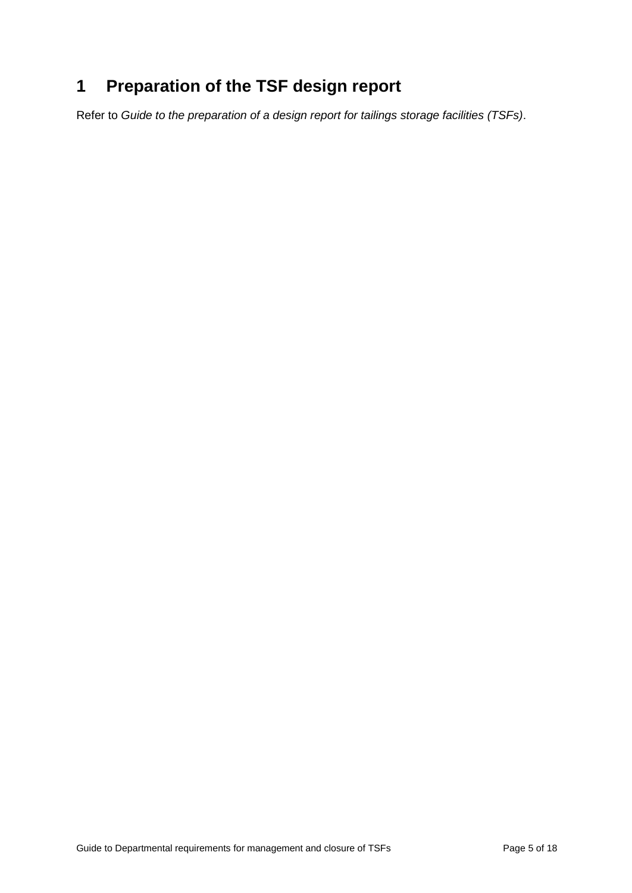# **1 Preparation of the TSF design report**

Refer to *Guide to the preparation of a design report for tailings storage facilities (TSFs)*.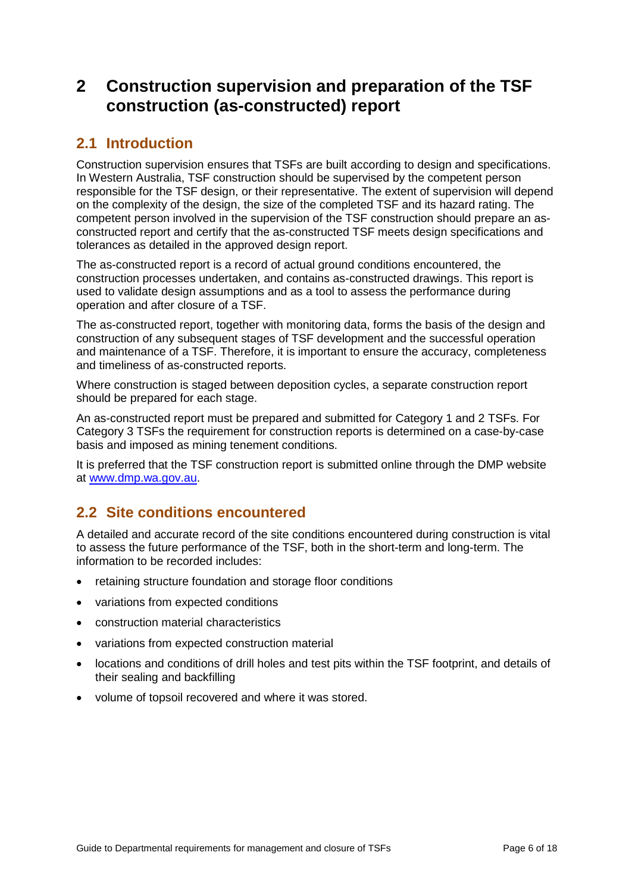## **2 Construction supervision and preparation of the TSF construction (as-constructed) report**

### **2.1 Introduction**

Construction supervision ensures that TSFs are built according to design and specifications. In Western Australia, TSF construction should be supervised by the competent person responsible for the TSF design, or their representative. The extent of supervision will depend on the complexity of the design, the size of the completed TSF and its hazard rating. The competent person involved in the supervision of the TSF construction should prepare an asconstructed report and certify that the as-constructed TSF meets design specifications and tolerances as detailed in the approved design report.

The as-constructed report is a record of actual ground conditions encountered, the construction processes undertaken, and contains as-constructed drawings. This report is used to validate design assumptions and as a tool to assess the performance during operation and after closure of a TSF.

The as-constructed report, together with monitoring data, forms the basis of the design and construction of any subsequent stages of TSF development and the successful operation and maintenance of a TSF. Therefore, it is important to ensure the accuracy, completeness and timeliness of as-constructed reports.

Where construction is staged between deposition cycles, a separate construction report should be prepared for each stage.

An as-constructed report must be prepared and submitted for Category 1 and 2 TSFs. For Category 3 TSFs the requirement for construction reports is determined on a case-by-case basis and imposed as mining tenement conditions.

It is preferred that the TSF construction report is submitted online through the DMP website at [www.dmp.wa.gov.au.](http://www.dmp.wa.gov.au/)

### **2.2 Site conditions encountered**

A detailed and accurate record of the site conditions encountered during construction is vital to assess the future performance of the TSF, both in the short-term and long-term. The information to be recorded includes:

- retaining structure foundation and storage floor conditions
- variations from expected conditions
- construction material characteristics
- variations from expected construction material
- locations and conditions of drill holes and test pits within the TSF footprint, and details of their sealing and backfilling
- volume of topsoil recovered and where it was stored.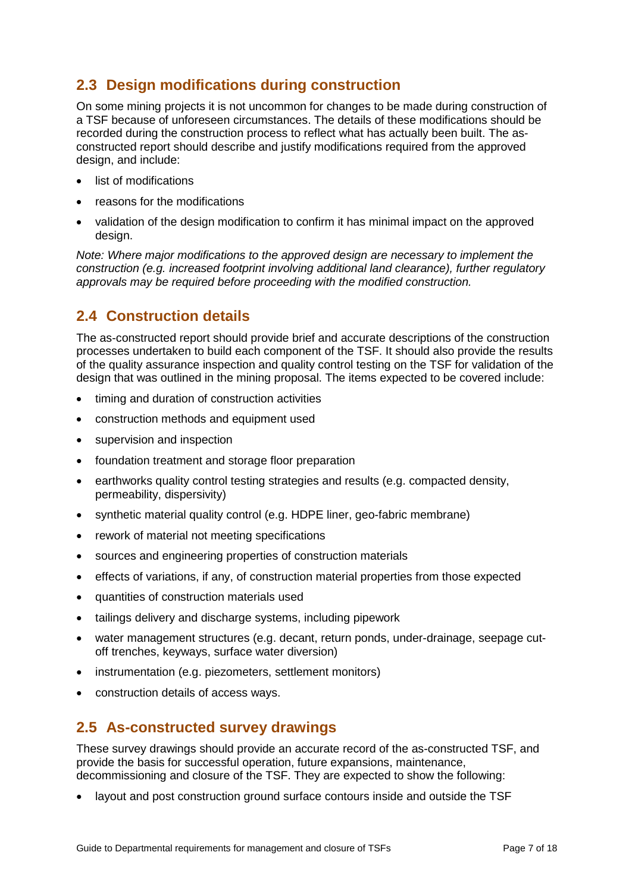### **2.3 Design modifications during construction**

On some mining projects it is not uncommon for changes to be made during construction of a TSF because of unforeseen circumstances. The details of these modifications should be recorded during the construction process to reflect what has actually been built. The asconstructed report should describe and justify modifications required from the approved design, and include:

- list of modifications
- reasons for the modifications
- validation of the design modification to confirm it has minimal impact on the approved design.

*Note: Where major modifications to the approved design are necessary to implement the construction (e.g. increased footprint involving additional land clearance), further regulatory approvals may be required before proceeding with the modified construction.*

### **2.4 Construction details**

The as-constructed report should provide brief and accurate descriptions of the construction processes undertaken to build each component of the TSF. It should also provide the results of the quality assurance inspection and quality control testing on the TSF for validation of the design that was outlined in the mining proposal. The items expected to be covered include:

- timing and duration of construction activities
- construction methods and equipment used
- supervision and inspection
- foundation treatment and storage floor preparation
- earthworks quality control testing strategies and results (e.g. compacted density, permeability, dispersivity)
- synthetic material quality control (e.g. HDPE liner, geo-fabric membrane)
- rework of material not meeting specifications
- sources and engineering properties of construction materials
- effects of variations, if any, of construction material properties from those expected
- quantities of construction materials used
- tailings delivery and discharge systems, including pipework
- water management structures (e.g. decant, return ponds, under-drainage, seepage cutoff trenches, keyways, surface water diversion)
- instrumentation (e.g. piezometers, settlement monitors)
- construction details of access ways.

### **2.5 As-constructed survey drawings**

These survey drawings should provide an accurate record of the as-constructed TSF, and provide the basis for successful operation, future expansions, maintenance, decommissioning and closure of the TSF. They are expected to show the following:

• layout and post construction ground surface contours inside and outside the TSF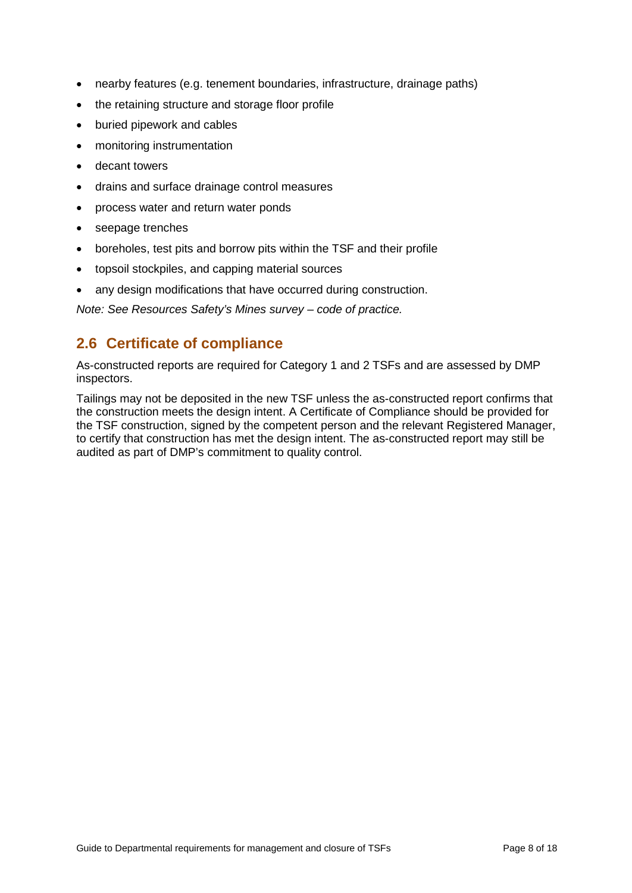- nearby features (e.g. tenement boundaries, infrastructure, drainage paths)
- the retaining structure and storage floor profile
- buried pipework and cables
- monitoring instrumentation
- decant towers
- drains and surface drainage control measures
- process water and return water ponds
- seepage trenches
- boreholes, test pits and borrow pits within the TSF and their profile
- topsoil stockpiles, and capping material sources
- any design modifications that have occurred during construction.

*Note: See Resources Safety's Mines survey – code of practice.* 

### **2.6 Certificate of compliance**

As-constructed reports are required for Category 1 and 2 TSFs and are assessed by DMP inspectors.

Tailings may not be deposited in the new TSF unless the as-constructed report confirms that the construction meets the design intent. A Certificate of Compliance should be provided for the TSF construction, signed by the competent person and the relevant Registered Manager, to certify that construction has met the design intent. The as-constructed report may still be audited as part of DMP's commitment to quality control.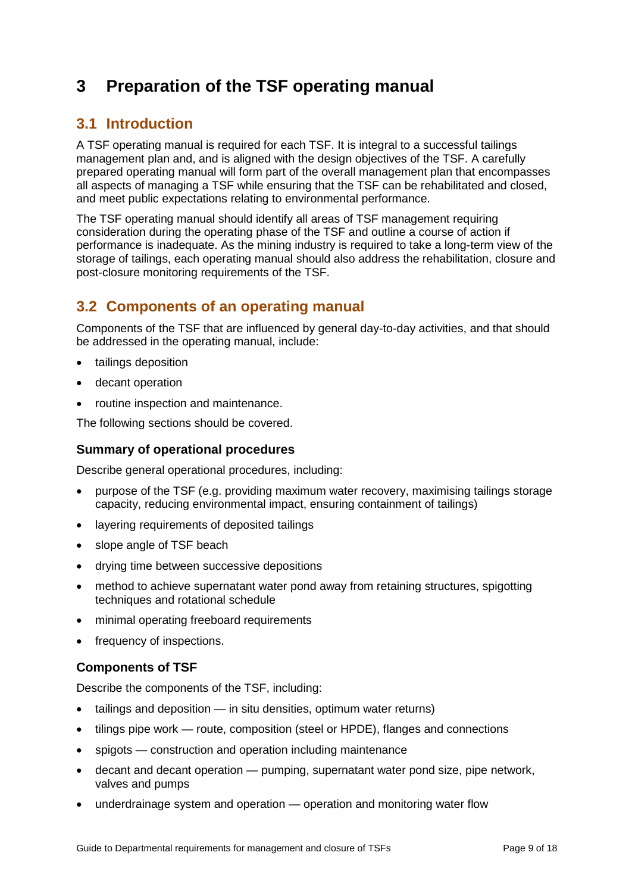## **3 Preparation of the TSF operating manual**

### **3.1 Introduction**

A TSF operating manual is required for each TSF. It is integral to a successful tailings management plan and, and is aligned with the design objectives of the TSF. A carefully prepared operating manual will form part of the overall management plan that encompasses all aspects of managing a TSF while ensuring that the TSF can be rehabilitated and closed, and meet public expectations relating to environmental performance.

The TSF operating manual should identify all areas of TSF management requiring consideration during the operating phase of the TSF and outline a course of action if performance is inadequate. As the mining industry is required to take a long-term view of the storage of tailings, each operating manual should also address the rehabilitation, closure and post-closure monitoring requirements of the TSF.

### **3.2 Components of an operating manual**

Components of the TSF that are influenced by general day-to-day activities, and that should be addressed in the operating manual, include:

- tailings deposition
- decant operation
- routine inspection and maintenance.

The following sections should be covered.

#### **Summary of operational procedures**

Describe general operational procedures, including:

- purpose of the TSF (e.g. providing maximum water recovery, maximising tailings storage capacity, reducing environmental impact, ensuring containment of tailings)
- layering requirements of deposited tailings
- slope angle of TSF beach
- drying time between successive depositions
- method to achieve supernatant water pond away from retaining structures, spigotting techniques and rotational schedule
- minimal operating freeboard requirements
- frequency of inspections.

#### **Components of TSF**

Describe the components of the TSF, including:

- tailings and deposition in situ densities, optimum water returns)
- tilings pipe work route, composition (steel or HPDE), flanges and connections
- spigots construction and operation including maintenance
- decant and decant operation pumping, supernatant water pond size, pipe network, valves and pumps
- underdrainage system and operation operation and monitoring water flow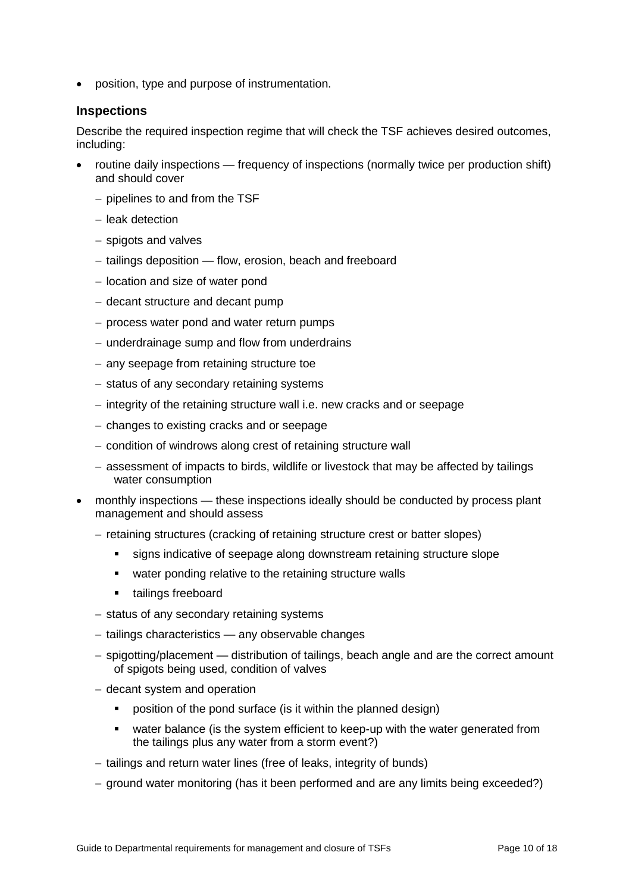• position, type and purpose of instrumentation.

#### **Inspections**

Describe the required inspection regime that will check the TSF achieves desired outcomes, including:

- routine daily inspections frequency of inspections (normally twice per production shift) and should cover
	- − pipelines to and from the TSF
	- − leak detection
	- − spigots and valves
	- − tailings deposition flow, erosion, beach and freeboard
	- − location and size of water pond
	- − decant structure and decant pump
	- − process water pond and water return pumps
	- − underdrainage sump and flow from underdrains
	- − any seepage from retaining structure toe
	- − status of any secondary retaining systems
	- − integrity of the retaining structure wall i.e. new cracks and or seepage
	- − changes to existing cracks and or seepage
	- − condition of windrows along crest of retaining structure wall
	- − assessment of impacts to birds, wildlife or livestock that may be affected by tailings water consumption
- monthly inspections these inspections ideally should be conducted by process plant management and should assess
	- − retaining structures (cracking of retaining structure crest or batter slopes)
		- signs indicative of seepage along downstream retaining structure slope
		- **•** water ponding relative to the retaining structure walls
		- **tailings freeboard**
	- − status of any secondary retaining systems
	- − tailings characteristics any observable changes
	- − spigotting/placement distribution of tailings, beach angle and are the correct amount of spigots being used, condition of valves
	- − decant system and operation
		- **•** position of the pond surface (is it within the planned design)
		- water balance (is the system efficient to keep-up with the water generated from the tailings plus any water from a storm event?)
	- − tailings and return water lines (free of leaks, integrity of bunds)
	- − ground water monitoring (has it been performed and are any limits being exceeded?)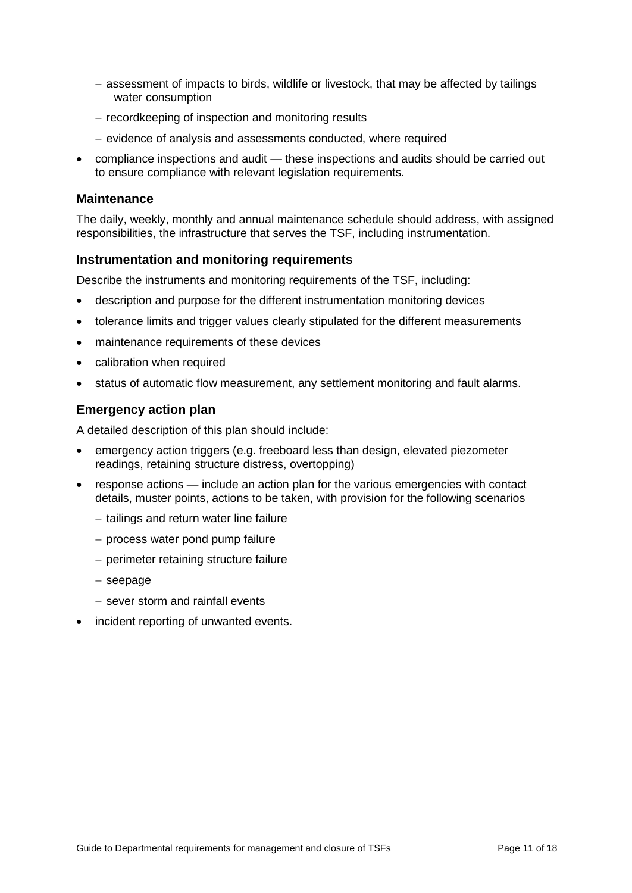- − assessment of impacts to birds, wildlife or livestock, that may be affected by tailings water consumption
- − recordkeeping of inspection and monitoring results
- − evidence of analysis and assessments conducted, where required
- compliance inspections and audit these inspections and audits should be carried out to ensure compliance with relevant legislation requirements.

#### **Maintenance**

The daily, weekly, monthly and annual maintenance schedule should address, with assigned responsibilities, the infrastructure that serves the TSF, including instrumentation.

#### **Instrumentation and monitoring requirements**

Describe the instruments and monitoring requirements of the TSF, including:

- description and purpose for the different instrumentation monitoring devices
- tolerance limits and trigger values clearly stipulated for the different measurements
- maintenance requirements of these devices
- calibration when required
- status of automatic flow measurement, any settlement monitoring and fault alarms.

#### **Emergency action plan**

A detailed description of this plan should include:

- emergency action triggers (e.g. freeboard less than design, elevated piezometer readings, retaining structure distress, overtopping)
- response actions include an action plan for the various emergencies with contact details, muster points, actions to be taken, with provision for the following scenarios
	- − tailings and return water line failure
	- − process water pond pump failure
	- − perimeter retaining structure failure
	- − seepage
	- − sever storm and rainfall events
- incident reporting of unwanted events.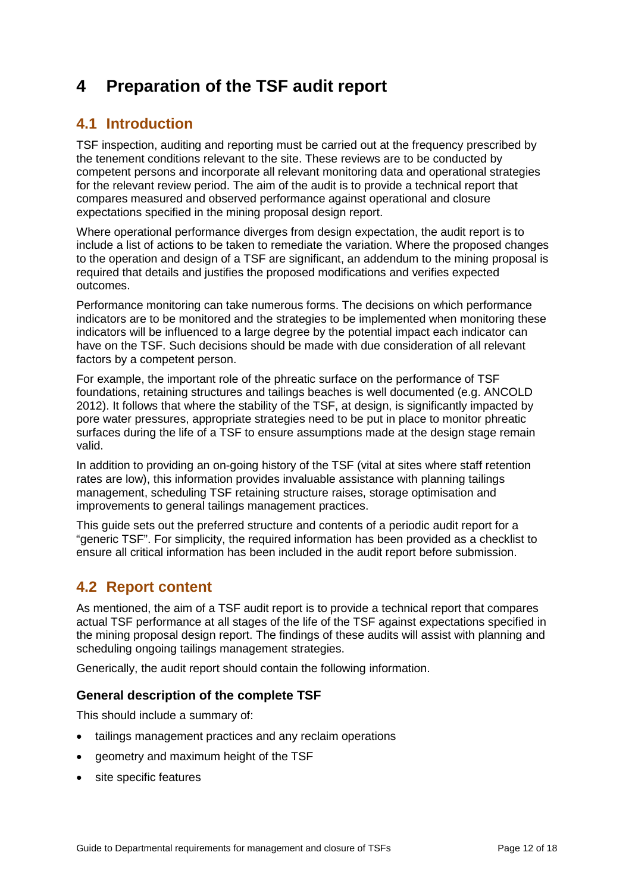## **4 Preparation of the TSF audit report**

### **4.1 Introduction**

TSF inspection, auditing and reporting must be carried out at the frequency prescribed by the tenement conditions relevant to the site. These reviews are to be conducted by competent persons and incorporate all relevant monitoring data and operational strategies for the relevant review period. The aim of the audit is to provide a technical report that compares measured and observed performance against operational and closure expectations specified in the mining proposal design report.

Where operational performance diverges from design expectation, the audit report is to include a list of actions to be taken to remediate the variation. Where the proposed changes to the operation and design of a TSF are significant, an addendum to the mining proposal is required that details and justifies the proposed modifications and verifies expected outcomes.

Performance monitoring can take numerous forms. The decisions on which performance indicators are to be monitored and the strategies to be implemented when monitoring these indicators will be influenced to a large degree by the potential impact each indicator can have on the TSF. Such decisions should be made with due consideration of all relevant factors by a competent person.

For example, the important role of the phreatic surface on the performance of TSF foundations, retaining structures and tailings beaches is well documented (e.g. ANCOLD 2012). It follows that where the stability of the TSF, at design, is significantly impacted by pore water pressures, appropriate strategies need to be put in place to monitor phreatic surfaces during the life of a TSF to ensure assumptions made at the design stage remain valid.

In addition to providing an on-going history of the TSF (vital at sites where staff retention rates are low), this information provides invaluable assistance with planning tailings management, scheduling TSF retaining structure raises, storage optimisation and improvements to general tailings management practices.

This guide sets out the preferred structure and contents of a periodic audit report for a "generic TSF". For simplicity, the required information has been provided as a checklist to ensure all critical information has been included in the audit report before submission.

### **4.2 Report content**

As mentioned, the aim of a TSF audit report is to provide a technical report that compares actual TSF performance at all stages of the life of the TSF against expectations specified in the mining proposal design report. The findings of these audits will assist with planning and scheduling ongoing tailings management strategies.

Generically, the audit report should contain the following information.

#### **General description of the complete TSF**

This should include a summary of:

- tailings management practices and any reclaim operations
- geometry and maximum height of the TSF
- site specific features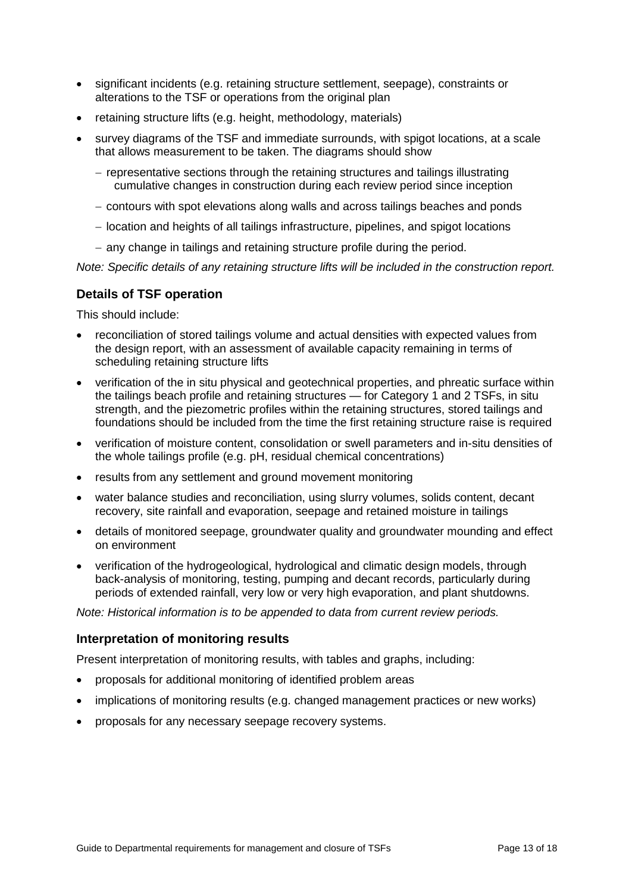- significant incidents (e.g. retaining structure settlement, seepage), constraints or alterations to the TSF or operations from the original plan
- retaining structure lifts (e.g. height, methodology, materials)
- survey diagrams of the TSF and immediate surrounds, with spigot locations, at a scale that allows measurement to be taken. The diagrams should show
	- − representative sections through the retaining structures and tailings illustrating cumulative changes in construction during each review period since inception
	- − contours with spot elevations along walls and across tailings beaches and ponds
	- − location and heights of all tailings infrastructure, pipelines, and spigot locations
	- − any change in tailings and retaining structure profile during the period.

*Note: Specific details of any retaining structure lifts will be included in the construction report.* 

#### **Details of TSF operation**

This should include:

- reconciliation of stored tailings volume and actual densities with expected values from the design report, with an assessment of available capacity remaining in terms of scheduling retaining structure lifts
- verification of the in situ physical and geotechnical properties, and phreatic surface within the tailings beach profile and retaining structures — for Category 1 and 2 TSFs, in situ strength, and the piezometric profiles within the retaining structures, stored tailings and foundations should be included from the time the first retaining structure raise is required
- verification of moisture content, consolidation or swell parameters and in-situ densities of the whole tailings profile (e.g. pH, residual chemical concentrations)
- results from any settlement and ground movement monitoring
- water balance studies and reconciliation, using slurry volumes, solids content, decant recovery, site rainfall and evaporation, seepage and retained moisture in tailings
- details of monitored seepage, groundwater quality and groundwater mounding and effect on environment
- verification of the hydrogeological, hydrological and climatic design models, through back-analysis of monitoring, testing, pumping and decant records, particularly during periods of extended rainfall, very low or very high evaporation, and plant shutdowns.

*Note: Historical information is to be appended to data from current review periods.*

#### **Interpretation of monitoring results**

Present interpretation of monitoring results, with tables and graphs, including:

- proposals for additional monitoring of identified problem areas
- implications of monitoring results (e.g. changed management practices or new works)
- proposals for any necessary seepage recovery systems.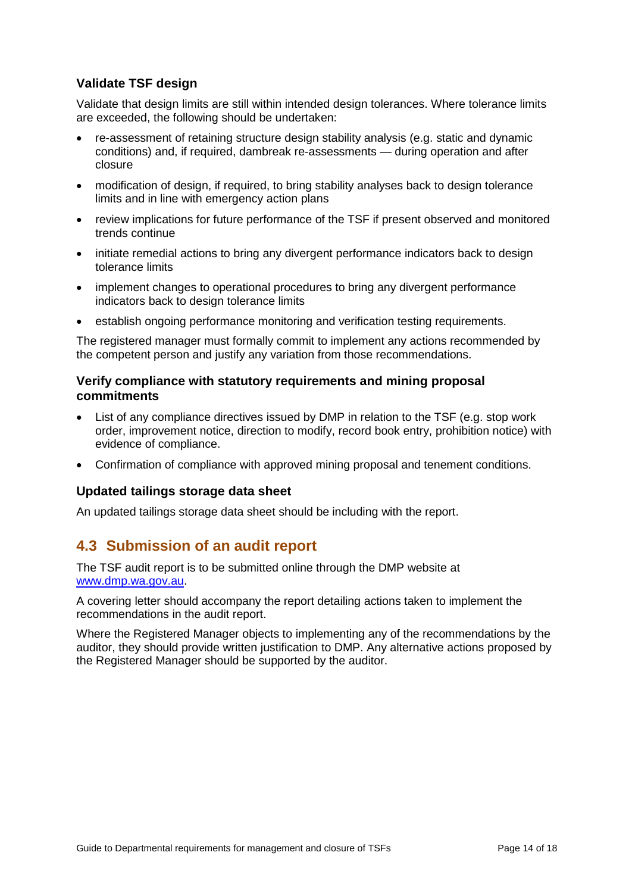#### **Validate TSF design**

Validate that design limits are still within intended design tolerances. Where tolerance limits are exceeded, the following should be undertaken:

- re-assessment of retaining structure design stability analysis (e.g. static and dynamic conditions) and, if required, dambreak re-assessments — during operation and after closure
- modification of design, if required, to bring stability analyses back to design tolerance limits and in line with emergency action plans
- review implications for future performance of the TSF if present observed and monitored trends continue
- initiate remedial actions to bring any divergent performance indicators back to design tolerance limits
- implement changes to operational procedures to bring any divergent performance indicators back to design tolerance limits
- establish ongoing performance monitoring and verification testing requirements.

The registered manager must formally commit to implement any actions recommended by the competent person and justify any variation from those recommendations.

#### **Verify compliance with statutory requirements and mining proposal commitments**

- List of any compliance directives issued by DMP in relation to the TSF (e.g. stop work order, improvement notice, direction to modify, record book entry, prohibition notice) with evidence of compliance.
- Confirmation of compliance with approved mining proposal and tenement conditions.

#### **Updated tailings storage data sheet**

An updated tailings storage data sheet should be including with the report.

### **4.3 Submission of an audit report**

The TSF audit report is to be submitted online through the DMP website at [www.dmp.wa.gov.au.](http://www.dmp.wa.gov.au/)

A covering letter should accompany the report detailing actions taken to implement the recommendations in the audit report.

Where the Registered Manager objects to implementing any of the recommendations by the auditor, they should provide written justification to DMP. Any alternative actions proposed by the Registered Manager should be supported by the auditor.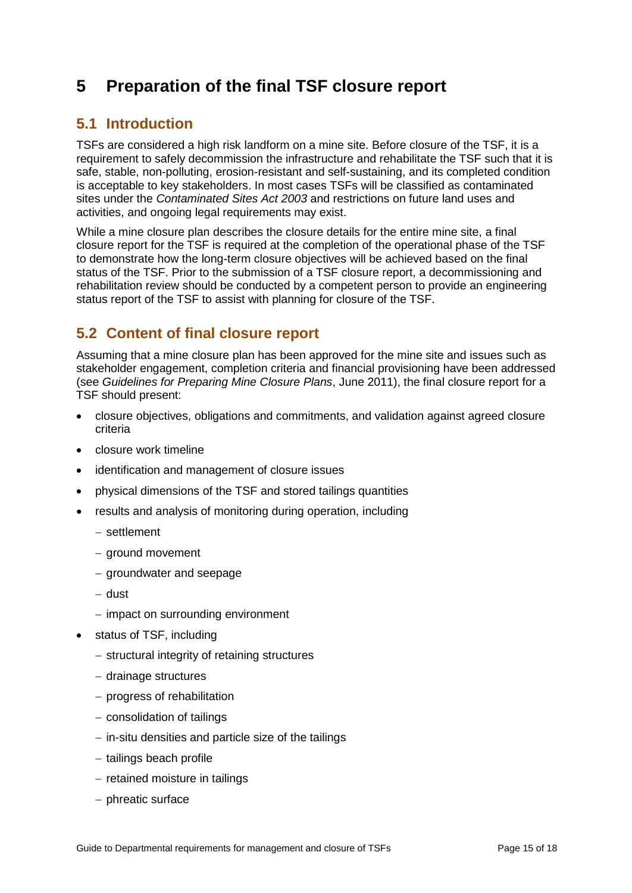## **5 Preparation of the final TSF closure report**

### **5.1 Introduction**

TSFs are considered a high risk landform on a mine site. Before closure of the TSF, it is a requirement to safely decommission the infrastructure and rehabilitate the TSF such that it is safe, stable, non-polluting, erosion-resistant and self-sustaining, and its completed condition is acceptable to key stakeholders. In most cases TSFs will be classified as contaminated sites under the *Contaminated Sites Act 2003* and restrictions on future land uses and activities, and ongoing legal requirements may exist.

While a mine closure plan describes the closure details for the entire mine site, a final closure report for the TSF is required at the completion of the operational phase of the TSF to demonstrate how the long-term closure objectives will be achieved based on the final status of the TSF. Prior to the submission of a TSF closure report, a decommissioning and rehabilitation review should be conducted by a competent person to provide an engineering status report of the TSF to assist with planning for closure of the TSF.

### **5.2 Content of final closure report**

Assuming that a mine closure plan has been approved for the mine site and issues such as stakeholder engagement, completion criteria and financial provisioning have been addressed (see *Guidelines for Preparing Mine Closure Plans*, June 2011), the final closure report for a TSF should present:

- closure objectives, obligations and commitments, and validation against agreed closure criteria
- closure work timeline
- identification and management of closure issues
- physical dimensions of the TSF and stored tailings quantities
- results and analysis of monitoring during operation, including
	- − settlement
	- − ground movement
	- − groundwater and seepage
	- − dust
	- − impact on surrounding environment
- status of TSF, including
	- − structural integrity of retaining structures
	- − drainage structures
	- − progress of rehabilitation
	- − consolidation of tailings
	- − in-situ densities and particle size of the tailings
	- − tailings beach profile
	- − retained moisture in tailings
	- − phreatic surface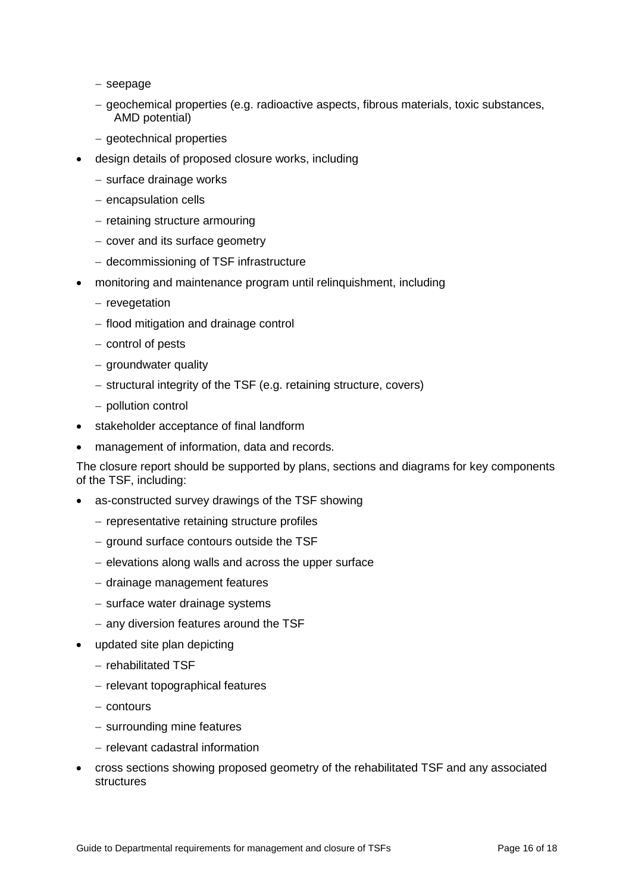− seepage

- − geochemical properties (e.g. radioactive aspects, fibrous materials, toxic substances, AMD potential)
- − geotechnical properties
- design details of proposed closure works, including
	- − surface drainage works
	- − encapsulation cells
	- − retaining structure armouring
	- − cover and its surface geometry
	- − decommissioning of TSF infrastructure
- monitoring and maintenance program until relinquishment, including
	- − revegetation
	- − flood mitigation and drainage control
	- − control of pests
	- − groundwater quality
	- − structural integrity of the TSF (e.g. retaining structure, covers)
	- − pollution control
- stakeholder acceptance of final landform
- management of information, data and records.

The closure report should be supported by plans, sections and diagrams for key components of the TSF, including:

- as-constructed survey drawings of the TSF showing
	- − representative retaining structure profiles
	- − ground surface contours outside the TSF
	- − elevations along walls and across the upper surface
	- − drainage management features
	- − surface water drainage systems
	- − any diversion features around the TSF
- updated site plan depicting
	- − rehabilitated TSF
	- − relevant topographical features
	- − contours
	- − surrounding mine features
	- − relevant cadastral information
- cross sections showing proposed geometry of the rehabilitated TSF and any associated structures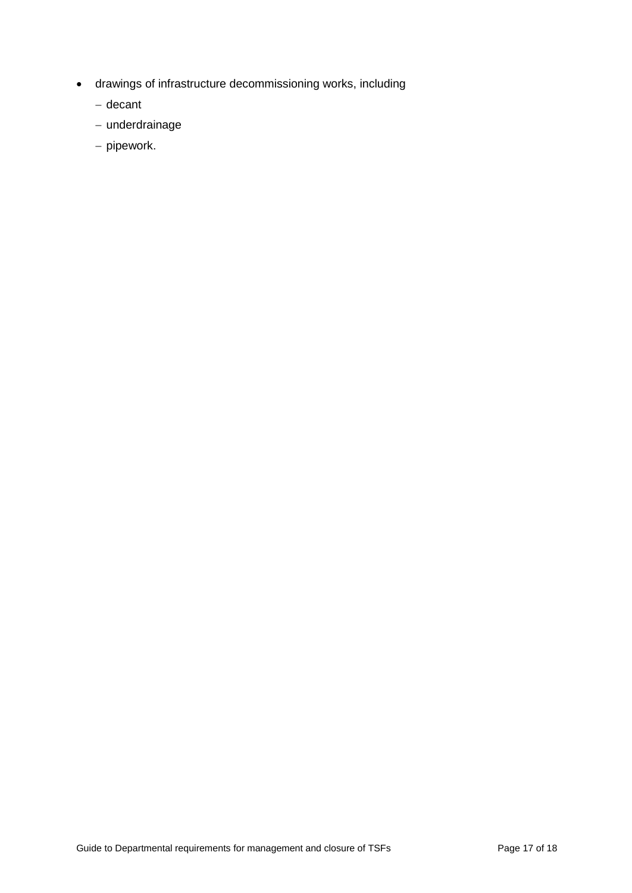- drawings of infrastructure decommissioning works, including
	- − decant
	- − underdrainage
	- − pipework.